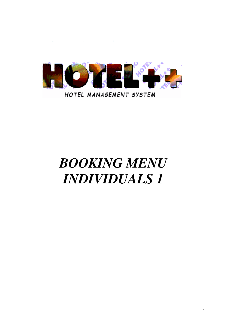

# *BOOKING MENU INDIVIDUALS 1*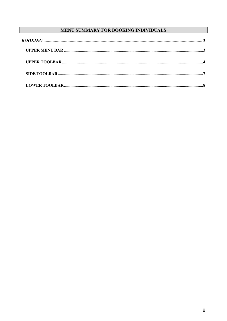### MENU SUMMARY FOR BOOKING INDIVIDUALS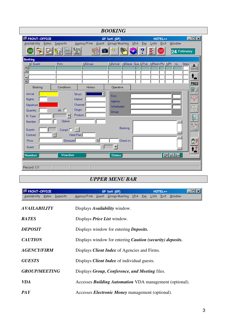|                                        |                                     |                                 | <b>BOOKING</b>                                     |               |                                           |
|----------------------------------------|-------------------------------------|---------------------------------|----------------------------------------------------|---------------|-------------------------------------------|
| <b>ER FRONT-OFFICE</b>                 |                                     |                                 | GP Dati (GP)                                       | HOTEL++       | $ \Box$ $\times$                          |
| Availability Rates                     | Deposits                            | Agency/Firm<br>$G$ uest<br>iô I | Group/Meeting VDA Pay<br>$\frac{1}{2} \frac{1}{2}$ | Exit<br>Lists | Window                                    |
|                                        | è                                   |                                 |                                                    | ٢Ñ<br>EXIT    | 24 February                               |
| <b>Booking</b><br>$\blacksquare$ Guest | Firm                                | $\blacksquare$ Group            | <b>MArrival MDepart QualM Typ MRoom Pty MPI.</b>   |               | Statu<br>no.                              |
| $\frac{1}{\epsilon}$                   |                                     |                                 |                                                    |               | $\overline{\mathbf{r}}$<br><b>UDUCHER</b> |
| ▼                                      |                                     |                                 |                                                    |               | Ι,                                        |
| E                                      |                                     |                                 |                                                    |               | <b>PASS</b>                               |
| Booking                                | Conditions                          | History                         | Operative                                          |               | 27                                        |
| Arrival                                | Struct.                             |                                 | <b>Firm</b>                                        |               | $x \times$                                |
| Nights<br>Departure                    | Market<br>Channel                   |                                 | Agency                                             |               |                                           |
| Quantity                               | <b>Origin</b><br>All. $\Box$        |                                 | Wholesaler<br>Group                                |               | ā                                         |
| R. Type                                | Product<br>$\overline{\phantom{a}}$ |                                 |                                                    |               |                                           |
| Number                                 | Option                              |                                 |                                                    |               |                                           |
| Guests                                 | Compl. $\Box$                       |                                 | Booking                                            |               |                                           |
| Contract                               | Hotel Plan                          |                                 |                                                    |               |                                           |
| Price                                  | Discount                            | $\frac{2}{3}$                   | Check-in                                           |               | $\mathbb{E}$ ?                            |
| Guest                                  |                                     |                                 | $\blacktriangledown$                               |               |                                           |
| <b>Number</b>                          | Voucher                             |                                 | <b>Status</b>                                      |               | Off WL Gua                                |
|                                        |                                     |                                 |                                                    |               |                                           |
| Record: 1/1                            |                                     |                                 |                                                    |               |                                           |

## *UPPER MENU BAR*

| FRONT-OFFICE                      | HOTEL++<br>GP Dati (GP)                                          | – I⊡I x |
|-----------------------------------|------------------------------------------------------------------|---------|
| Deposits<br>Availability<br>Rates | Agency/Firm Guest Group/Meeting VDA Pay Lists Exit               | Window  |
| <b>AVAILABILITY</b>               | Displays <i>Availability</i> window.                             |         |
| <b>RATES</b>                      | Displays <i>Price List</i> window.                               |         |
| <b>DEPOSIT</b>                    | Displays window for entering <i>Deposits</i> .                   |         |
| <b>CAUTION</b>                    | Displays window for entering <i>Caution</i> (security) deposits. |         |
| <b>AGENCY/FIRM</b>                | Displays <i>Client Index</i> of Agencies and Firms.              |         |
| <b>GUESTS</b>                     | Displays <i>Client Index</i> of individual guests.               |         |
| <b>GROUP/MEETING</b>              | Displays Group, Conference, and Meeting files.                   |         |
| <b>VDA</b>                        | Accesses <b>Building Automation</b> VDA management (optional).   |         |
| PA Y                              | Accesses <i>Electronic Money</i> management (optional).          |         |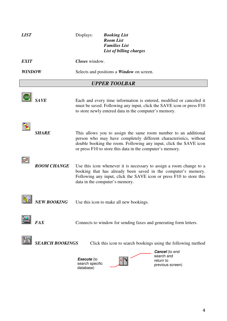| <b>LIST</b>          |                        | Displays:                                        | <b>Booking List</b><br><b>Room List</b><br><b>Families List</b><br>List of billing charges |                                                                                                                                                                                                             |  |
|----------------------|------------------------|--------------------------------------------------|--------------------------------------------------------------------------------------------|-------------------------------------------------------------------------------------------------------------------------------------------------------------------------------------------------------------|--|
| <i><b>EXIT</b></i>   |                        | Closes window.                                   |                                                                                            |                                                                                                                                                                                                             |  |
| <b>WINDOW</b>        |                        | Selects and positions a <i>Window</i> on screen. |                                                                                            |                                                                                                                                                                                                             |  |
| <b>UPPER TOOLBAR</b> |                        |                                                  |                                                                                            |                                                                                                                                                                                                             |  |
|                      | <b>SAVE</b>            |                                                  | to store newly entered data in the computer's memory.                                      | Each and every time information is entered, modified or canceled it<br>must be saved. Following any input, click the SAVE icon or press F10                                                                 |  |
|                      | <b>SHARE</b>           |                                                  | or press F10 to store this data in the computer's memory.                                  | This allows you to assign the same room number to an additional<br>person who may have completely different characteristics, without<br>double booking the room. Following any input, click the SAVE icon   |  |
|                      | <b>ROOM CHANGE</b>     |                                                  | data in the computer's memory.                                                             | Use this icon whenever it is necessary to assign a room change to a<br>booking that has already been saved in the computer's memory.<br>Following any input, click the SAVE icon or press F10 to store this |  |
|                      | NEW BOOKING            |                                                  | Use this icon to make all new bookings.                                                    |                                                                                                                                                                                                             |  |
|                      | <b>FAX</b>             |                                                  | Connects to window for sending faxes and generating form letters.                          |                                                                                                                                                                                                             |  |
|                      | <b>SEARCH BOOKINGS</b> |                                                  |                                                                                            | Click this icon to search bookings using the following method<br><b>Cancel</b> (to end                                                                                                                      |  |
|                      |                        | Execute (to<br>search specific<br>database)      |                                                                                            | search and<br>return to<br>previous screen)                                                                                                                                                                 |  |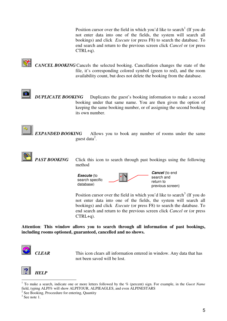Position cursor over the field in which you'd like to search<sup>1</sup> (If you do not enter data into one of the fields, the system will search all bookings) and click *Execute* (or press F8) to search the database. To end search and return to the previous screen click *Cancel* or (or press CTRL+q).

*CANCEL BOOKING* Cancels the selected booking. Cancellation changes the state of the file, it's corresponding colored symbol (green to red), and the room availability count, but does not delete the booking from the database.

*DUPLICATE BOOKING* Duplicates the guest's booking information to make a second booking under that same name. You are then given the option of keeping the same booking number, or of assigning the second booking its own number.



*EXPANDED BOOKING* Allows you to book any number of rooms under the same guest data 2 .



**PAST BOOKING** Click this icon to search through past bookings using the following method



Position cursor over the field in which you'd like to search<sup>3</sup> (If you do not enter data into one of the fields, the system will search all bookings) and click *Execute* (or press F8) to search the database. To end search and return to the previous screen click *Cancel* or (or press CTRL+q).

**Attention**: **This window allows you to search through all information of past bookings, including rooms optioned, guaranteed, cancelled and no shows.**



*CLEAR* This icon clears all information entered in window. Any data that has not been saved will be lost.



<sup>1</sup> To make a search, indicate one or more letters followed by the % (percent) sign. For example, in the *Guest Name* field, typing ALPI% will show ALPITOUR, ALPIEAGLES, and even ALPINESTARS

<sup>&</sup>lt;sup>2</sup> See Booking, Proceedure for entering, Quantity

 $3$  See note 1.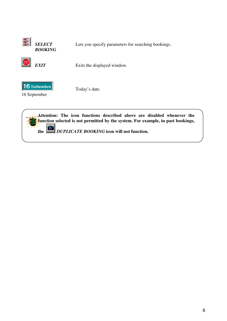

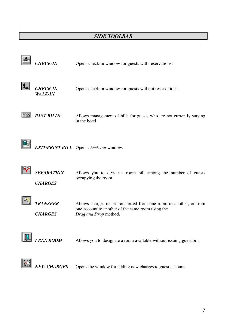#### *SIDE TOOLBAR*

| <b>CHECK-IN</b>                     | Opens check-in window for guests with reservations.                                                                                              |
|-------------------------------------|--------------------------------------------------------------------------------------------------------------------------------------------------|
| <b>CHECK-IN</b><br><b>WALK-IN</b>   | Opens check-in window for guests without reservations.                                                                                           |
| <b>PAST BILLS</b>                   | Allows management of bills for guests who are not currently staying<br>in the hotel.                                                             |
|                                     | <b>EXIT/PRINT BILL</b> Opens check-out window.                                                                                                   |
| <b>SEPARATION</b><br><b>CHARGES</b> | Allows you to divide a room bill among the number of guests<br>occupying the room.                                                               |
| <b>TRANSFER</b><br><b>CHARGES</b>   | Allows charges to be transferred from one room to another, or from<br>one account to another of the same room using the<br>Drag and Drop method. |
| <b>FREE ROOM</b>                    | Allows you to designate a room available without issuing guest bill.                                                                             |
| <b>NEW CHARGES</b>                  | Opens the window for adding new charges to guest account.                                                                                        |